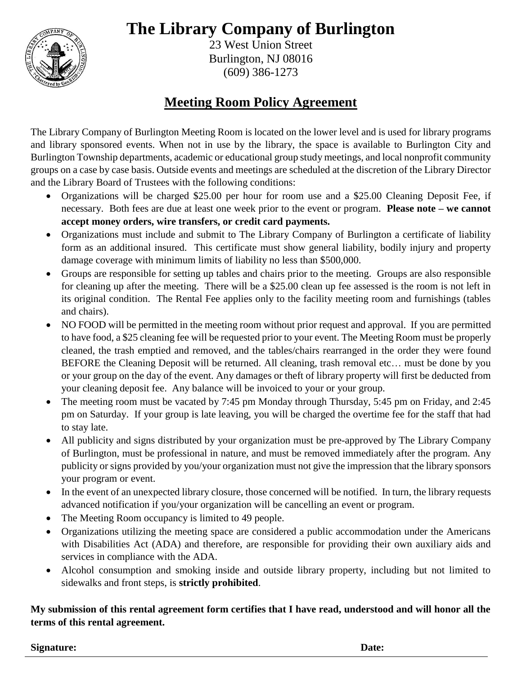# **The Library Company of Burlington**



23 West Union Street Burlington, NJ 08016 (609) 386-1273

## **Meeting Room Policy Agreement**

The Library Company of Burlington Meeting Room is located on the lower level and is used for library programs and library sponsored events. When not in use by the library, the space is available to Burlington City and Burlington Township departments, academic or educational group study meetings, and local nonprofit community groups on a case by case basis. Outside events and meetings are scheduled at the discretion of the Library Director and the Library Board of Trustees with the following conditions:

- Organizations will be charged \$25.00 per hour for room use and a \$25.00 Cleaning Deposit Fee, if necessary. Both fees are due at least one week prior to the event or program. **Please note – we cannot accept money orders, wire transfers, or credit card payments.**
- Organizations must include and submit to The Library Company of Burlington a certificate of liability form as an additional insured. This certificate must show general liability, bodily injury and property damage coverage with minimum limits of liability no less than \$500,000.
- Groups are responsible for setting up tables and chairs prior to the meeting. Groups are also responsible for cleaning up after the meeting. There will be a \$25.00 clean up fee assessed is the room is not left in its original condition. The Rental Fee applies only to the facility meeting room and furnishings (tables and chairs).
- NO FOOD will be permitted in the meeting room without prior request and approval. If you are permitted to have food, a \$25 cleaning fee will be requested prior to your event. The Meeting Room must be properly cleaned, the trash emptied and removed, and the tables/chairs rearranged in the order they were found BEFORE the Cleaning Deposit will be returned. All cleaning, trash removal etc… must be done by you or your group on the day of the event. Any damages or theft of library property will first be deducted from your cleaning deposit fee. Any balance will be invoiced to your or your group.
- The meeting room must be vacated by 7:45 pm Monday through Thursday, 5:45 pm on Friday, and 2:45 pm on Saturday. If your group is late leaving, you will be charged the overtime fee for the staff that had to stay late.
- All publicity and signs distributed by your organization must be pre-approved by The Library Company of Burlington, must be professional in nature, and must be removed immediately after the program. Any publicity or signs provided by you/your organization must not give the impression that the library sponsors your program or event.
- In the event of an unexpected library closure, those concerned will be notified. In turn, the library requests advanced notification if you/your organization will be cancelling an event or program.
- The Meeting Room occupancy is limited to 49 people.
- Organizations utilizing the meeting space are considered a public accommodation under the Americans with Disabilities Act (ADA) and therefore, are responsible for providing their own auxiliary aids and services in compliance with the ADA.
- Alcohol consumption and smoking inside and outside library property, including but not limited to sidewalks and front steps, is **strictly prohibited**.

**My submission of this rental agreement form certifies that I have read, understood and will honor all the terms of this rental agreement.**

**Signature: Date:**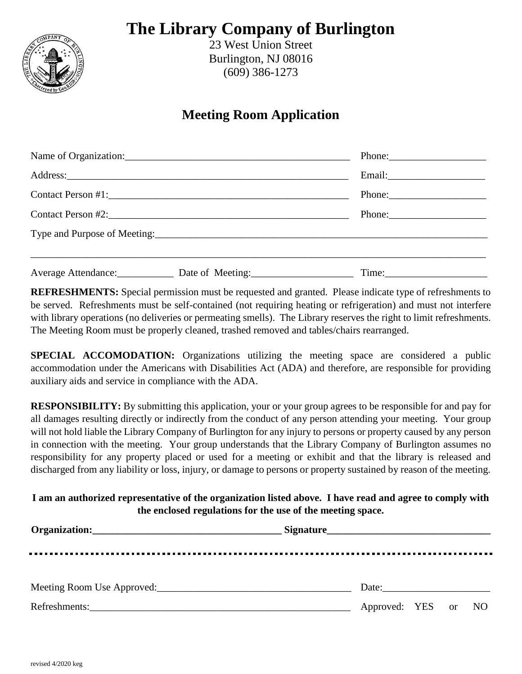## **The Library Company of Burlington**



23 West Union Street Burlington, NJ 08016 (609) 386-1273

### **Meeting Room Application**

|  | Address: Note and the contract of the contract of the contract of the contract of the contract of the contract of the contract of the contract of the contract of the contract of the contract of the contract of the contract |       |  |
|--|--------------------------------------------------------------------------------------------------------------------------------------------------------------------------------------------------------------------------------|-------|--|
|  |                                                                                                                                                                                                                                |       |  |
|  |                                                                                                                                                                                                                                |       |  |
|  |                                                                                                                                                                                                                                |       |  |
|  | Average Attendance: Date of Meeting: 2008. Average Attendance:                                                                                                                                                                 | Time: |  |

**REFRESHMENTS:** Special permission must be requested and granted. Please indicate type of refreshments to be served. Refreshments must be self-contained (not requiring heating or refrigeration) and must not interfere with library operations (no deliveries or permeating smells). The Library reserves the right to limit refreshments. The Meeting Room must be properly cleaned, trashed removed and tables/chairs rearranged.

**SPECIAL ACCOMODATION:** Organizations utilizing the meeting space are considered a public accommodation under the Americans with Disabilities Act (ADA) and therefore, are responsible for providing auxiliary aids and service in compliance with the ADA.

**RESPONSIBILITY:** By submitting this application, your or your group agrees to be responsible for and pay for all damages resulting directly or indirectly from the conduct of any person attending your meeting. Your group will not hold liable the Library Company of Burlington for any injury to persons or property caused by any person in connection with the meeting. Your group understands that the Library Company of Burlington assumes no responsibility for any property placed or used for a meeting or exhibit and that the library is released and discharged from any liability or loss, injury, or damage to persons or property sustained by reason of the meeting.

#### **I am an authorized representative of the organization listed above. I have read and agree to comply with the enclosed regulations for the use of the meeting space.**

|  | Date: the contract of the contract of the contract of the contract of the contract of the contract of the contract of the contract of the contract of the contract of the contract of the contract of the contract of the cont |  |  |  |
|--|--------------------------------------------------------------------------------------------------------------------------------------------------------------------------------------------------------------------------------|--|--|--|
|  | Approved: YES or NO                                                                                                                                                                                                            |  |  |  |